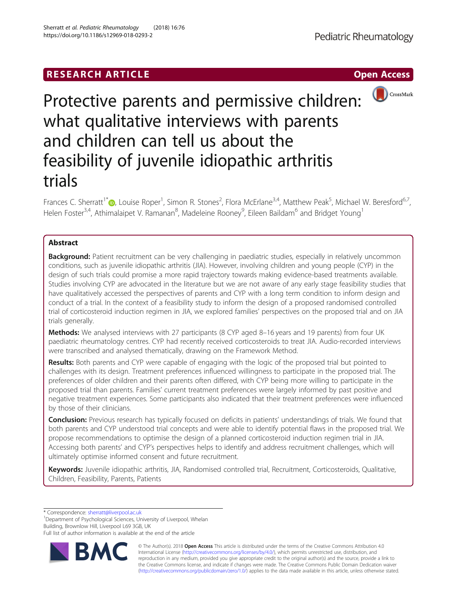# **RESEARCH ARTICLE Example 2018 12:30 THE OPEN ACCESS**

Frances C. Sherratt<sup>1[\\*](http://orcid.org/0000-0003-4147-9305)</sup> D, Louise Roper<sup>1</sup>, Simon R. Stones<sup>2</sup>, Flora McErlane<sup>3,4</sup>, Matthew Peak<sup>5</sup>, Michael W. Beresford<sup>6,7</sup>, Helen Foster<sup>3,4</sup>, Athimalaipet V. Ramanan<sup>8</sup>, Madeleine Rooney<sup>9</sup>, Eileen Baildam<sup>6</sup> and Bridget Young<sup>1</sup>

Protective parents and permissive children:

what qualitative interviews with parents

feasibility of juvenile idiopathic arthritis

and children can tell us about the

# Abstract

trials

**Background:** Patient recruitment can be very challenging in paediatric studies, especially in relatively uncommon conditions, such as juvenile idiopathic arthritis (JIA). However, involving children and young people (CYP) in the design of such trials could promise a more rapid trajectory towards making evidence-based treatments available. Studies involving CYP are advocated in the literature but we are not aware of any early stage feasibility studies that have qualitatively accessed the perspectives of parents and CYP with a long term condition to inform design and conduct of a trial. In the context of a feasibility study to inform the design of a proposed randomised controlled trial of corticosteroid induction regimen in JIA, we explored families' perspectives on the proposed trial and on JIA trials generally.

Methods: We analysed interviews with 27 participants (8 CYP aged 8-16 years and 19 parents) from four UK paediatric rheumatology centres. CYP had recently received corticosteroids to treat JIA. Audio-recorded interviews were transcribed and analysed thematically, drawing on the Framework Method.

Results: Both parents and CYP were capable of engaging with the logic of the proposed trial but pointed to challenges with its design. Treatment preferences influenced willingness to participate in the proposed trial. The preferences of older children and their parents often differed, with CYP being more willing to participate in the proposed trial than parents. Families' current treatment preferences were largely informed by past positive and negative treatment experiences. Some participants also indicated that their treatment preferences were influenced by those of their clinicians.

Conclusion: Previous research has typically focused on deficits in patients' understandings of trials. We found that both parents and CYP understood trial concepts and were able to identify potential flaws in the proposed trial. We propose recommendations to optimise the design of a planned corticosteroid induction regimen trial in JIA. Accessing both parents' and CYP's perspectives helps to identify and address recruitment challenges, which will ultimately optimise informed consent and future recruitment.

Keywords: Juvenile idiopathic arthritis, JIA, Randomised controlled trial, Recruitment, Corticosteroids, Qualitative, Children, Feasibility, Parents, Patients

\* Correspondence: [sherratt@liverpool.ac.uk](mailto:sherratt@liverpool.ac.uk) <sup>1</sup>

<sup>1</sup>Department of Psychological Sciences, University of Liverpool, Whelan Building, Brownlow Hill, Liverpool L69 3GB, UK









© The Author(s). 2018 Open Access This article is distributed under the terms of the Creative Commons Attribution 4.0 International License [\(http://creativecommons.org/licenses/by/4.0/](http://creativecommons.org/licenses/by/4.0/)), which permits unrestricted use, distribution, and reproduction in any medium, provided you give appropriate credit to the original author(s) and the source, provide a link to the Creative Commons license, and indicate if changes were made. The Creative Commons Public Domain Dedication waiver [\(http://creativecommons.org/publicdomain/zero/1.0/](http://creativecommons.org/publicdomain/zero/1.0/)) applies to the data made available in this article, unless otherwise stated.

Full list of author information is available at the end of the article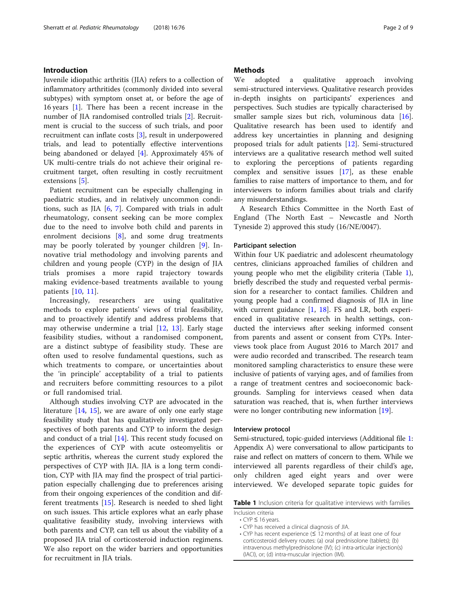# <span id="page-1-0"></span>Introduction

Juvenile idiopathic arthritis (JIA) refers to a collection of inflammatory arthritides (commonly divided into several subtypes) with symptom onset at, or before the age of 16 years [[1](#page-7-0)]. There has been a recent increase in the number of JIA randomised controlled trials [[2\]](#page-8-0). Recruitment is crucial to the success of such trials, and poor recruitment can inflate costs [\[3\]](#page-8-0), result in underpowered trials, and lead to potentially effective interventions being abandoned or delayed [[4\]](#page-8-0). Approximately 45% of UK multi-centre trials do not achieve their original recruitment target, often resulting in costly recruitment extensions [[5\]](#page-8-0).

Patient recruitment can be especially challenging in paediatric studies, and in relatively uncommon conditions, such as JIA [\[6,](#page-8-0) [7](#page-8-0)]. Compared with trials in adult rheumatology, consent seeking can be more complex due to the need to involve both child and parents in enrolment decisions [[8\]](#page-8-0), and some drug treatments may be poorly tolerated by younger children [[9\]](#page-8-0). Innovative trial methodology and involving parents and children and young people (CYP) in the design of JIA trials promises a more rapid trajectory towards making evidence-based treatments available to young patients [[10,](#page-8-0) [11\]](#page-8-0).

Increasingly, researchers are using qualitative methods to explore patients' views of trial feasibility, and to proactively identify and address problems that may otherwise undermine a trial [[12](#page-8-0), [13\]](#page-8-0). Early stage feasibility studies, without a randomised component, are a distinct subtype of feasibility study. These are often used to resolve fundamental questions, such as which treatments to compare, or uncertainties about the 'in principle' acceptability of a trial to patients and recruiters before committing resources to a pilot or full randomised trial.

Although studies involving CYP are advocated in the literature [\[14,](#page-8-0) [15\]](#page-8-0), we are aware of only one early stage feasibility study that has qualitatively investigated perspectives of both parents and CYP to inform the design and conduct of a trial [\[14](#page-8-0)]. This recent study focused on the experiences of CYP with acute osteomyelitis or septic arthritis, whereas the current study explored the perspectives of CYP with JIA. JIA is a long term condition, CYP with JIA may find the prospect of trial participation especially challenging due to preferences arising from their ongoing experiences of the condition and different treatments [\[15](#page-8-0)]. Research is needed to shed light on such issues. This article explores what an early phase qualitative feasibility study, involving interviews with both parents and CYP, can tell us about the viability of a proposed JIA trial of corticosteroid induction regimens. We also report on the wider barriers and opportunities for recruitment in JIA trials.

# **Methods**

We adopted a qualitative approach involving semi-structured interviews. Qualitative research provides in-depth insights on participants' experiences and perspectives. Such studies are typically characterised by smaller sample sizes but rich, voluminous data [\[16](#page-8-0)]. Qualitative research has been used to identify and address key uncertainties in planning and designing proposed trials for adult patients [\[12\]](#page-8-0). Semi-structured interviews are a qualitative research method well suited to exploring the perceptions of patients regarding complex and sensitive issues [\[17](#page-8-0)], as these enable families to raise matters of importance to them, and for interviewers to inform families about trials and clarify any misunderstandings.

A Research Ethics Committee in the North East of England (The North East – Newcastle and North Tyneside 2) approved this study (16/NE/0047).

# Participant selection

Within four UK paediatric and adolescent rheumatology centres, clinicians approached families of children and young people who met the eligibility criteria (Table 1), briefly described the study and requested verbal permission for a researcher to contact families. Children and young people had a confirmed diagnosis of JIA in line with current guidance [[1,](#page-7-0) [18\]](#page-8-0). FS and LR, both experienced in qualitative research in health settings, conducted the interviews after seeking informed consent from parents and assent or consent from CYPs. Interviews took place from August 2016 to March 2017 and were audio recorded and transcribed. The research team monitored sampling characteristics to ensure these were inclusive of patients of varying ages, and of families from a range of treatment centres and socioeconomic backgrounds. Sampling for interviews ceased when data saturation was reached, that is, when further interviews were no longer contributing new information [\[19\]](#page-8-0).

# Interview protocol

Semi-structured, topic-guided interviews (Additional file [1](#page-7-0): Appendix A) were conversational to allow participants to raise and reflect on matters of concern to them. While we interviewed all parents regardless of their child's age, only children aged eight years and over were interviewed. We developed separate topic guides for

Table 1 Inclusion criteria for qualitative interviews with families

Inclusion criteria

<sup>•</sup> CYP ≤ 16 years.

<sup>•</sup> CYP has received a clinical diagnosis of JIA.

<sup>•</sup> CYP has recent experience (≤ 12 months) of at least one of four corticosteroid delivery routes: (a) oral prednisolone (tablets); (b) intravenous methylprednisolone (IV); (c) intra-articular injection(s) (IACI), or; (d) intra-muscular injection (IM).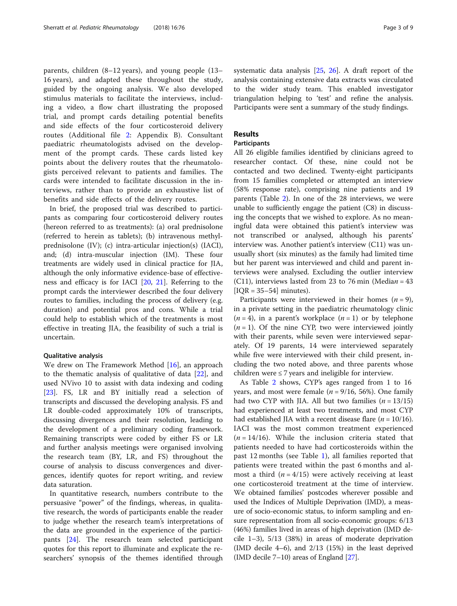parents, children (8–12 years), and young people (13– 16 years), and adapted these throughout the study, guided by the ongoing analysis. We also developed stimulus materials to facilitate the interviews, including a video, a flow chart illustrating the proposed trial, and prompt cards detailing potential benefits and side effects of the four corticosteroid delivery routes (Additional file [2](#page-7-0): Appendix B). Consultant paediatric rheumatologists advised on the development of the prompt cards. These cards listed key points about the delivery routes that the rheumatologists perceived relevant to patients and families. The cards were intended to facilitate discussion in the interviews, rather than to provide an exhaustive list of benefits and side effects of the delivery routes.

In brief, the proposed trial was described to participants as comparing four corticosteroid delivery routes (hereon referred to as treatments): (a) oral prednisolone (referred to herein as tablets); (b) intravenous methylprednisolone (IV); (c) intra-articular injection(s) (IACI), and; (d) intra-muscular injection (IM). These four treatments are widely used in clinical practice for JIA, although the only informative evidence-base of effectiveness and efficacy is for IACI [[20,](#page-8-0) [21](#page-8-0)]. Referring to the prompt cards the interviewer described the four delivery routes to families, including the process of delivery (e.g. duration) and potential pros and cons. While a trial could help to establish which of the treatments is most effective in treating JIA, the feasibility of such a trial is uncertain.

## Qualitative analysis

We drew on The Framework Method [[16\]](#page-8-0), an approach to the thematic analysis of qualitative of data [\[22](#page-8-0)], and used NVivo 10 to assist with data indexing and coding [[23\]](#page-8-0). FS, LR and BY initially read a selection of transcripts and discussed the developing analysis. FS and LR double-coded approximately 10% of transcripts, discussing divergences and their resolution, leading to the development of a preliminary coding framework. Remaining transcripts were coded by either FS or LR and further analysis meetings were organised involving the research team (BY, LR, and FS) throughout the course of analysis to discuss convergences and divergences, identify quotes for report writing, and review data saturation.

In quantitative research, numbers contribute to the persuasive "power" of the findings, whereas, in qualitative research, the words of participants enable the reader to judge whether the research team's interpretations of the data are grounded in the experience of the participants [[24](#page-8-0)]. The research team selected participant quotes for this report to illuminate and explicate the researchers' synopsis of the themes identified through systematic data analysis [\[25,](#page-8-0) [26](#page-8-0)]. A draft report of the analysis containing extensive data extracts was circulated to the wider study team. This enabled investigator triangulation helping to 'test' and refine the analysis. Participants were sent a summary of the study findings.

# Results

# **Participants**

All 26 eligible families identified by clinicians agreed to researcher contact. Of these, nine could not be contacted and two declined. Twenty-eight participants from 15 families completed or attempted an interview (58% response rate), comprising nine patients and 19 parents (Table [2\)](#page-3-0). In one of the 28 interviews, we were unable to sufficiently engage the patient (C8) in discussing the concepts that we wished to explore. As no meaningful data were obtained this patient's interview was not transcribed or analysed, although his parents' interview was. Another patient's interview (C11) was unusually short (six minutes) as the family had limited time but her parent was interviewed and child and parent interviews were analysed. Excluding the outlier interview (C11), interviews lasted from 23 to 76 min (Median =  $43$  $[IOR = 35-54]$  minutes).

Participants were interviewed in their homes  $(n = 9)$ , in a private setting in the paediatric rheumatology clinic  $(n = 4)$ , in a parent's workplace  $(n = 1)$  or by telephone  $(n = 1)$ . Of the nine CYP, two were interviewed jointly with their parents, while seven were interviewed separately. Of 19 parents, 14 were interviewed separately while five were interviewed with their child present, including the two noted above, and three parents whose children were  $\leq$  7 years and ineligible for interview.

As Table [2](#page-3-0) shows, CYP's ages ranged from 1 to 16 years, and most were female ( $n = 9/16$ , 56%). One family had two CYP with JIA. All but two families  $(n = 13/15)$ had experienced at least two treatments, and most CYP had established JIA with a recent disease flare ( $n = 10/16$ ). IACI was the most common treatment experienced  $(n = 14/16)$ . While the inclusion criteria stated that patients needed to have had corticosteroids within the past 12 months (see Table [1\)](#page-1-0), all families reported that patients were treated within the past 6 months and almost a third  $(n = 4/15)$  were actively receiving at least one corticosteroid treatment at the time of interview. We obtained families' postcodes wherever possible and used the Indices of Multiple Deprivation (IMD), a measure of socio-economic status, to inform sampling and ensure representation from all socio-economic groups: 6/13 (46%) families lived in areas of high deprivation (IMD decile 1–3), 5/13 (38%) in areas of moderate deprivation (IMD decile 4–6), and 2/13 (15%) in the least deprived (IMD decile  $7-10$ ) areas of England [\[27\]](#page-8-0).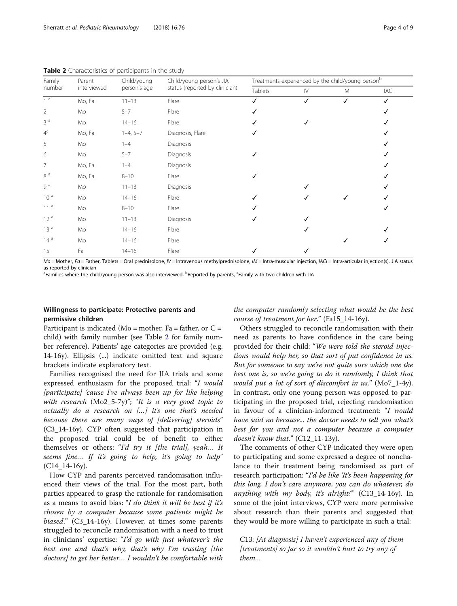| Family<br>number | Parent<br>interviewed | Child/young<br>person's age | Child/young person's JIA<br>status (reported by clinician) | Treatments experienced by the child/young person <sup>b</sup> |                        |    |              |
|------------------|-----------------------|-----------------------------|------------------------------------------------------------|---------------------------------------------------------------|------------------------|----|--------------|
|                  |                       |                             |                                                            | Tablets                                                       | $\mathsf{I}\mathsf{V}$ | IM | <b>IACI</b>  |
| 1 <sup>a</sup>   | Mo, Fa                | $11 - 13$                   | Flare                                                      | ✓                                                             | ✓                      |    | $\checkmark$ |
| $\overline{2}$   | Mo                    | $5 - 7$                     | Flare                                                      | √                                                             |                        |    |              |
| 3 <sup>a</sup>   | Mo                    | $14 - 16$                   | Flare                                                      | ✓                                                             | √                      |    |              |
| 4 <sup>c</sup>   | Mo, Fa                | $1-4, 5-7$                  | Diagnosis, Flare                                           | √                                                             |                        |    |              |
| 5                | Mo                    | $1 - 4$                     | Diagnosis                                                  |                                                               |                        |    |              |
| 6                | Mo                    | $5 - 7$                     | Diagnosis                                                  | ✓                                                             |                        |    |              |
| $\overline{7}$   | Mo, Fa                | $1 - 4$                     | Diagnosis                                                  |                                                               |                        |    |              |
| 8 <sup>a</sup>   | Mo, Fa                | $8 - 10$                    | Flare                                                      | ✓                                                             |                        |    |              |
| 9 <sup>a</sup>   | Mo                    | $11 - 13$                   | Diagnosis                                                  |                                                               |                        |    |              |
| 10 <sup>a</sup>  | Mo                    | $14 - 16$                   | Flare                                                      | √                                                             |                        | ✓  |              |
| 11 <sup>a</sup>  | Mo                    | $8 - 10$                    | Flare                                                      |                                                               |                        |    | ✓            |
| 12 <sup>a</sup>  | Mo                    | $11 - 13$                   | Diagnosis                                                  | ✓                                                             | √                      |    |              |
| 13 <sup>a</sup>  | Mo                    | $14 - 16$                   | Flare                                                      |                                                               | ✓                      |    |              |
| 14 <sup>a</sup>  | Mo                    | $14 - 16$                   | Flare                                                      |                                                               |                        |    |              |
| 15               | Fa                    | $14 - 16$                   | Flare                                                      | ✓                                                             |                        |    |              |

<span id="page-3-0"></span>Table 2 Characteristics of participants in the study

 $Mo = Mother, Fa = Father, Tablets = Oral prednisolon, W = Intravenous methylprednisolon, JM = Intra-muscular injection, IACI = Intra-articular injection(s). JIA status$ as reported by clinician

<sup>a</sup>Families where the child/young person was also interviewed, <sup>b</sup>Reported by parents, <sup>c</sup>Family with two children with JIA

# Willingness to participate: Protective parents and permissive children

Participant is indicated ( $Mo = mother$ ,  $Fa = father$ , or  $C =$ child) with family number (see Table 2 for family number reference). Patients' age categories are provided (e.g. 14-16y). Ellipsis (...) indicate omitted text and square brackets indicate explanatory text.

Families recognised the need for JIA trials and some expressed enthusiasm for the proposed trial: "I would [participate] 'cause I've always been up for like helping with research  $(Mo2_5-7y)$ "; "It is a very good topic to actually do a research on […] it's one that's needed because there are many ways of [delivering] steroids" (C3\_14-16y). CYP often suggested that participation in the proposed trial could be of benefit to either themselves or others: "I'd try it [the trial], yeah… It seems fine... If it's going to help, it's going to help"  $(C14_14-16y)$ .

How CYP and parents perceived randomisation influenced their views of the trial. For the most part, both parties appeared to grasp the rationale for randomisation as a means to avoid bias: "I do think it will be best if it's chosen by a computer because some patients might be biased." (C3\_14-16y). However, at times some parents struggled to reconcile randomisation with a need to trust in clinicians' expertise: "I'd go with just whatever's the best one and that's why, that's why I'm trusting [the doctors] to get her better… I wouldn't be comfortable with

the computer randomly selecting what would be the best course of treatment for her." (Fa15\_14-16y).

Others struggled to reconcile randomisation with their need as parents to have confidence in the care being provided for their child: "We were told the steroid injections would help her, so that sort of put confidence in us. But for someone to say we're not quite sure which one the best one is, so we're going to do it randomly, I think that would put a lot of sort of discomfort in us."  $(Mo7_1-4y)$ . In contrast, only one young person was opposed to participating in the proposed trial, rejecting randomisation in favour of a clinician-informed treatment: "I would have said no because... the doctor needs to tell you what's best for you and not a computer because a computer doesn't know that." (C12\_11-13y).

The comments of other CYP indicated they were open to participating and some expressed a degree of nonchalance to their treatment being randomised as part of research participation: "I'd be like 'It's been happening for this long, I don't care anymore, you can do whatever, do anything with my body, it's alright!'" (C13\_14-16y). In some of the joint interviews, CYP were more permissive about research than their parents and suggested that they would be more willing to participate in such a trial:

C13: [At diagnosis] I haven't experienced any of them [treatments] so far so it wouldn't hurt to try any of them…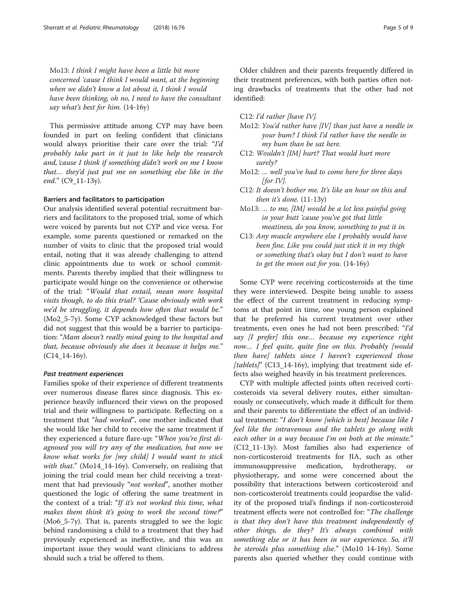Mo13: I think I might have been a little bit more concerned 'cause I think I would want, at the beginning when we didn't know a lot about it, I think I would have been thinking, oh no, I need to have the consultant say what's best for him. (14-16y)

This permissive attitude among CYP may have been founded in part on feeling confident that clinicians would always prioritise their care over the trial: "I'd probably take part in it just to like help the research and, 'cause I think if something didn't work on me I know that… they'd just put me on something else like in the end."  $(C9_11-13y)$ .

## Barriers and facilitators to participation

Our analysis identified several potential recruitment barriers and facilitators to the proposed trial, some of which were voiced by parents but not CYP and vice versa. For example, some parents questioned or remarked on the number of visits to clinic that the proposed trial would entail, noting that it was already challenging to attend clinic appointments due to work or school commitments. Parents thereby implied that their willingness to participate would hinge on the convenience or otherwise of the trial: "Would that entail, mean more hospital visits though, to do this trial? 'Cause obviously with work we'd be struggling, it depends how often that would be." (Mo2\_5-7y). Some CYP acknowledged these factors but did not suggest that this would be a barrier to participation: "Mam doesn't really mind going to the hospital and that, because obviously she does it because it helps me." (C14\_14-16y).

### Past treatment experiences

Families spoke of their experience of different treatments over numerous disease flares since diagnosis. This experience heavily influenced their views on the proposed trial and their willingness to participate. Reflecting on a treatment that "had worked", one mother indicated that she would like her child to receive the same treatment if they experienced a future flare-up: "When you're first diagnosed you will try any of the medication, but now we know what works for [my child] I would want to stick with that." (Mo14\_14-16y). Conversely, on realising that joining the trial could mean her child receiving a treatment that had previously "not worked", another mother questioned the logic of offering the same treatment in the context of a trial: "If it's not worked this time, what makes them think it's going to work the second time?" (Mo6\_5-7y). That is, parents struggled to see the logic behind randomising a child to a treatment that they had previously experienced as ineffective, and this was an important issue they would want clinicians to address should such a trial be offered to them.

C12: I'd rather [have IV].

identified:

- Mo12: You'd rather have [IV] than just have a needle in your bum? I think I'd rather have the needle in my bum than be sat here.
- C12: Wouldn't [IM] hurt? That would hurt more surely?
- Mo12: … well you've had to come here for three days [for IV].
- C12: It doesn't bother me. It's like an hour on this and then it's done.  $(11-13y)$
- Mo13: … to me, [IM] would be a lot less painful going in your butt 'cause you've got that little meatiness, do you know, something to put it in.
- C13: Any muscle anywhere else I probably would have been fine. Like you could just stick it in my thigh or something that's okay but I don't want to have to get the moon out for you. (14-16y)

Some CYP were receiving corticosteroids at the time they were interviewed. Despite being unable to assess the effect of the current treatment in reducing symptoms at that point in time, one young person explained that he preferred his current treatment over other treatments, even ones he had not been prescribed: "I'd say [I prefer] this one... because my experience right now… I feel quite, quite fine on this. Probably [would then have] tablets since I haven't experienced those  $[tablets]$ " (C13\_14-16y), implying that treatment side effects also weighed heavily in his treatment preferences.

CYP with multiple affected joints often received corticosteroids via several delivery routes, either simultaneously or consecutively, which made it difficult for them and their parents to differentiate the effect of an individual treatment: "I don't know [which is best] because like I feel like the intravenous and the tablets go along with each other in a way because I'm on both at the minute." (C12\_11-13y). Most families also had experience of non-corticosteroid treatments for JIA, such as other immunosuppressive medication, hydrotherapy, or physiotherapy, and some were concerned about the possibility that interactions between corticosteroid and non-corticosteroid treatments could jeopardise the validity of the proposed trial's findings if non-corticosteroid treatment effects were not controlled for: "The challenge is that they don't have this treatment independently of other things, do they? It's always combined with something else or it has been in our experience. So, it'll be steroids plus something else." (Mo10 14-16y). Some parents also queried whether they could continue with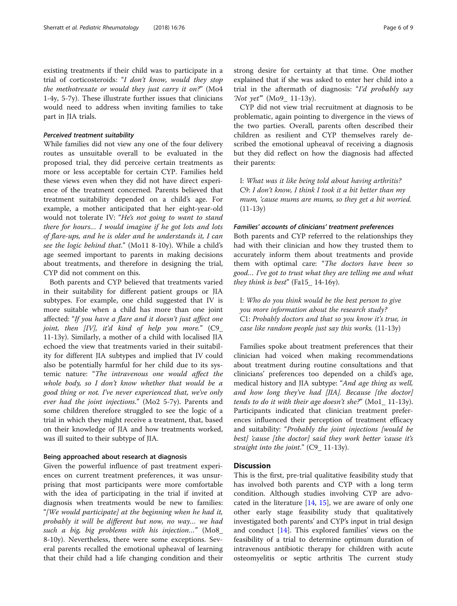existing treatments if their child was to participate in a trial of corticosteroids: "I don't know, would they stop the methotrexate or would they just carry it on?" (Mo4 1-4y, 5-7y). These illustrate further issues that clinicians would need to address when inviting families to take part in JIA trials.

# Perceived treatment suitability

While families did not view any one of the four delivery routes as unsuitable overall to be evaluated in the proposed trial, they did perceive certain treatments as more or less acceptable for certain CYP. Families held these views even when they did not have direct experience of the treatment concerned. Parents believed that treatment suitability depended on a child's age. For example, a mother anticipated that her eight-year-old would not tolerate IV: "He's not going to want to stand there for hours… I would imagine if he got lots and lots of flare-ups, and he is older and he understands it, I can see the logic behind that." (Mo11 8-10y). While a child's age seemed important to parents in making decisions about treatments, and therefore in designing the trial, CYP did not comment on this.

Both parents and CYP believed that treatments varied in their suitability for different patient groups or JIA subtypes. For example, one child suggested that IV is more suitable when a child has more than one joint affected: "If you have a flare and it doesn't just affect one joint, then  $[IV]$ , it'd kind of help you more."  $(C9$ 11-13y). Similarly, a mother of a child with localised JIA echoed the view that treatments varied in their suitability for different JIA subtypes and implied that IV could also be potentially harmful for her child due to its systemic nature: "The intravenous one would affect the whole body, so I don't know whether that would be a good thing or not. I've never experienced that, we've only ever had the joint injections." (Mo2 5-7y). Parents and some children therefore struggled to see the logic of a trial in which they might receive a treatment, that, based on their knowledge of JIA and how treatments worked, was ill suited to their subtype of JIA.

## Being approached about research at diagnosis

Given the powerful influence of past treatment experiences on current treatment preferences, it was unsurprising that most participants were more comfortable with the idea of participating in the trial if invited at diagnosis when treatments would be new to families: "[We would participate] at the beginning when he had it, probably it will be different but now, no way… we had such a big, big problems with his injection..." (Mo8\_ 8-10y). Nevertheless, there were some exceptions. Several parents recalled the emotional upheaval of learning that their child had a life changing condition and their

strong desire for certainty at that time. One mother explained that if she was asked to enter her child into a trial in the aftermath of diagnosis: "I'd probably say 'Not yet''' (Mo9\_ 11-13y).

CYP did not view trial recruitment at diagnosis to be problematic, again pointing to divergence in the views of the two parties. Overall, parents often described their children as resilient and CYP themselves rarely described the emotional upheaval of receiving a diagnosis but they did reflect on how the diagnosis had affected their parents:

I: What was it like being told about having arthritis? C9: I don't know, I think I took it a bit better than my mum, 'cause mums are mums, so they get a bit worried. (11-13y)

# Families' accounts of clinicians' treatment preferences

Both parents and CYP referred to the relationships they had with their clinician and how they trusted them to accurately inform them about treatments and provide them with optimal care: "The doctors have been so good… I've got to trust what they are telling me and what they think is best" (Fa15 $\_$  14-16y).

I: Who do you think would be the best person to give you more information about the research study? C1: Probably doctors and that so you know it's true, in case like random people just say this works. (11-13y)

Families spoke about treatment preferences that their clinician had voiced when making recommendations about treatment during routine consultations and that clinicians' preferences too depended on a child's age, medical history and JIA subtype: "And age thing as well, and how long they've had [JIA]. Because [the doctor] tends to do it with their age doesn't she?" ( $Mol_{11}$  11-13y). Participants indicated that clinician treatment preferences influenced their perception of treatment efficacy and suitability: "Probably the joint injections [would be best] 'cause [the doctor] said they work better 'cause it's straight into the joint." (C9\_11-13y).

# **Discussion**

This is the first, pre-trial qualitative feasibility study that has involved both parents and CYP with a long term condition. Although studies involving CYP are advocated in the literature [[14,](#page-8-0) [15\]](#page-8-0), we are aware of only one other early stage feasibility study that qualitatively investigated both parents' and CYP's input in trial design and conduct [[14\]](#page-8-0). This explored families' views on the feasibility of a trial to determine optimum duration of intravenous antibiotic therapy for children with acute osteomyelitis or septic arthritis The current study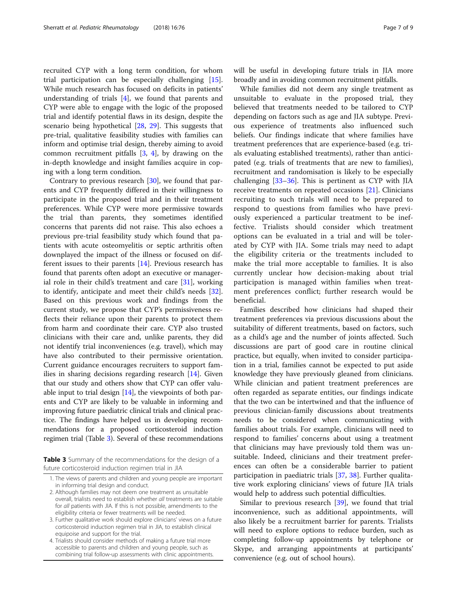recruited CYP with a long term condition, for whom trial participation can be especially challenging [\[15](#page-8-0)]. While much research has focused on deficits in patients' understanding of trials  $[4]$  $[4]$ , we found that parents and CYP were able to engage with the logic of the proposed trial and identify potential flaws in its design, despite the scenario being hypothetical [[28](#page-8-0), [29\]](#page-8-0). This suggests that pre-trial, qualitative feasibility studies with families can inform and optimise trial design, thereby aiming to avoid common recruitment pitfalls [\[3](#page-8-0), [4\]](#page-8-0), by drawing on the in-depth knowledge and insight families acquire in coping with a long term condition.

Contrary to previous research [\[30](#page-8-0)], we found that parents and CYP frequently differed in their willingness to participate in the proposed trial and in their treatment preferences. While CYP were more permissive towards the trial than parents, they sometimes identified concerns that parents did not raise. This also echoes a previous pre-trial feasibility study which found that patients with acute osteomyelitis or septic arthritis often downplayed the impact of the illness or focused on different issues to their parents [\[14](#page-8-0)]. Previous research has found that parents often adopt an executive or managerial role in their child's treatment and care [[31](#page-8-0)], working to identify, anticipate and meet their child's needs [\[32](#page-8-0)]. Based on this previous work and findings from the current study, we propose that CYP's permissiveness reflects their reliance upon their parents to protect them from harm and coordinate their care. CYP also trusted clinicians with their care and, unlike parents, they did not identify trial inconveniences (e.g. travel), which may have also contributed to their permissive orientation. Current guidance encourages recruiters to support families in sharing decisions regarding research [\[14](#page-8-0)]. Given that our study and others show that CYP can offer valuable input to trial design [\[14\]](#page-8-0), the viewpoints of both parents and CYP are likely to be valuable in informing and improving future paediatric clinical trials and clinical practice. The findings have helped us in developing recommendations for a proposed corticosteroid induction regimen trial (Table 3). Several of these recommendations

Table 3 Summary of the recommendations for the design of a future corticosteroid induction regimen trial in JIA

4. Trialists should consider methods of making a future trial more accessible to parents and children and young people, such as combining trial follow-up assessments with clinic appointments.

will be useful in developing future trials in JIA more broadly and in avoiding common recruitment pitfalls.

While families did not deem any single treatment as unsuitable to evaluate in the proposed trial, they believed that treatments needed to be tailored to CYP depending on factors such as age and JIA subtype. Previous experience of treatments also influenced such beliefs. Our findings indicate that where families have treatment preferences that are experience-based (e.g. trials evaluating established treatments), rather than anticipated (e.g. trials of treatments that are new to families), recruitment and randomisation is likely to be especially challenging [[33](#page-8-0)–[36](#page-8-0)]. This is pertinent as CYP with JIA receive treatments on repeated occasions [\[21\]](#page-8-0). Clinicians recruiting to such trials will need to be prepared to respond to questions from families who have previously experienced a particular treatment to be ineffective. Trialists should consider which treatment options can be evaluated in a trial and will be tolerated by CYP with JIA. Some trials may need to adapt the eligibility criteria or the treatments included to make the trial more acceptable to families. It is also currently unclear how decision-making about trial participation is managed within families when treatment preferences conflict; further research would be beneficial.

Families described how clinicians had shaped their treatment preferences via previous discussions about the suitability of different treatments, based on factors, such as a child's age and the number of joints affected. Such discussions are part of good care in routine clinical practice, but equally, when invited to consider participation in a trial, families cannot be expected to put aside knowledge they have previously gleaned from clinicians. While clinician and patient treatment preferences are often regarded as separate entities, our findings indicate that the two can be intertwined and that the influence of previous clinician-family discussions about treatments needs to be considered when communicating with families about trials. For example, clinicians will need to respond to families' concerns about using a treatment that clinicians may have previously told them was unsuitable. Indeed, clinicians and their treatment preferences can often be a considerable barrier to patient participation in paediatric trials [\[37](#page-8-0), [38](#page-8-0)]. Further qualitative work exploring clinicians' views of future JIA trials would help to address such potential difficulties.

Similar to previous research [[39\]](#page-8-0), we found that trial inconvenience, such as additional appointments, will also likely be a recruitment barrier for parents. Trialists will need to explore options to reduce burden, such as completing follow-up appointments by telephone or Skype, and arranging appointments at participants' convenience (e.g. out of school hours).

<sup>1.</sup> The views of parents and children and young people are important in informing trial design and conduct.

<sup>2.</sup> Although families may not deem one treatment as unsuitable overall, trialists need to establish whether all treatments are suitable for all patients with JIA. If this is not possible, amendments to the eligibility criteria or fewer treatments will be needed.

<sup>3.</sup> Further qualitative work should explore clinicians' views on a future corticosteroid induction regimen trial in JIA, to establish clinical equipoise and support for the trial.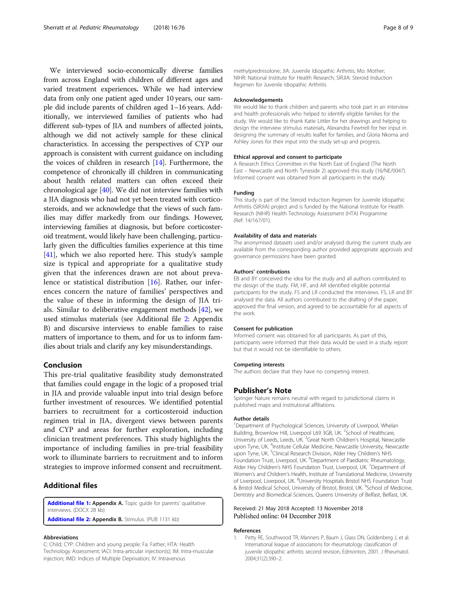<span id="page-7-0"></span>We interviewed socio-economically diverse families from across England with children of different ages and varied treatment experiences. While we had interview data from only one patient aged under 10 years, our sample did include parents of children aged 1–16 years. Additionally, we interviewed families of patients who had different sub-types of JIA and numbers of affected joints, although we did not actively sample for these clinical characteristics. In accessing the perspectives of CYP our approach is consistent with current guidance on including the voices of children in research [\[14\]](#page-8-0). Furthermore, the competence of chronically ill children in communicating about health related matters can often exceed their chronological age [[40\]](#page-8-0). We did not interview families with a JIA diagnosis who had not yet been treated with corticosteroids, and we acknowledge that the views of such families may differ markedly from our findings. However, interviewing families at diagnosis, but before corticosteroid treatment, would likely have been challenging, particularly given the difficulties families experience at this time [[41](#page-8-0)], which we also reported here. This study's sample size is typical and appropriate for a qualitative study given that the inferences drawn are not about prevalence or statistical distribution [[16\]](#page-8-0). Rather, our inferences concern the nature of families' perspectives and the value of these in informing the design of JIA trials. Similar to deliberative engagement methods [[42](#page-8-0)], we used stimulus materials (see Additional file 2: Appendix B) and discursive interviews to enable families to raise matters of importance to them, and for us to inform families about trials and clarify any key misunderstandings.

# Conclusion

This pre-trial qualitative feasibility study demonstrated that families could engage in the logic of a proposed trial in JIA and provide valuable input into trial design before further investment of resources. We identified potential barriers to recruitment for a corticosteroid induction regimen trial in JIA, divergent views between parents and CYP and areas for further exploration, including clinician treatment preferences. This study highlights the importance of including families in pre-trial feasibility work to illuminate barriers to recruitment and to inform strategies to improve informed consent and recruitment.

# Additional files

[Additional file 1:](https://doi.org/10.1186/s12969-018-0293-2) Appendix A. Topic quide for parents' qualitative interviews. (DOCX 28 kb)

[Additional file 2:](https://doi.org/10.1186/s12969-018-0293-2) Appendix B. Stimulus. (PUB 1131 kb)

#### Abbreviations

C: Child; CYP: Children and young people; Fa: Father; HTA: Health Technology Assessment; IACI: Intra-articular injection(s); IM: Intra-muscular injection; IMD: Indices of Multiple Deprivation; IV: Intravenous

methylprednisolone; JIA: Juvenile Idiopathic Arthritis; Mo: Mother; NIHR: National Institute for Health Research; SIRJIA: Steroid Induction Regimen for Juvenile Idiopathic Arthritis

### Acknowledgements

We would like to thank children and parents who took part in an interview and health professionals who helped to identify eligible families for the study. We would like to thank Katie Littler for her drawings and helping to design the interview stimulus materials, Alexandra Fewtrell for her input in designing the summary of results leaflet for families, and Gloria Nkoma and Ashley Jones for their input into the study set-up and progress.

### Ethical approval and consent to participate

A Research Ethics Committee in the North East of England (The North East – Newcastle and North Tyneside 2) approved this study (16/NE/0047). Informed consent was obtained from all participants in the study.

#### Funding

This study is part of the Steroid Induction Regimen for Juvenile Idiopathic Arthritis (SIRJIA) project and is funded by the National Institute for Health Research (NIHR) Health Technology Assessment (HTA) Programme (Ref: 14/167/01).

#### Availability of data and materials

The anonymised datasets used and/or analysed during the current study are available from the corresponding author provided appropriate approvals and governance permissions have been granted.

### Authors' contributions

EB and BY conceived the idea for the study and all authors contributed to the design of the study. FM, HF, and AR identified eligible potential participants for the study. FS and LR conducted the interviews. FS, LR and BY analysed the data. All authors contributed to the drafting of the paper, approved the final version, and agreed to be accountable for all aspects of the work.

### Consent for publication

Informed consent was obtained for all participants. As part of this, participants were informed that their data would be used in a study report but that it would not be identifiable to others.

#### Competing interests

The authors declare that they have no competing interest.

### Publisher's Note

Springer Nature remains neutral with regard to jurisdictional claims in published maps and institutional affiliations.

### Author details

<sup>1</sup>Department of Psychological Sciences, University of Liverpool, Whelan Building, Brownlow Hill, Liverpool L69 3GB, UK. <sup>2</sup>School of Healthcare, University of Leeds, Leeds, UK. <sup>3</sup>Great North Children's Hospital, Newcastle upon Tyne, UK. <sup>4</sup>Institute Cellular Medicine, Newcastle University, Newcastle upon Tyne, UK.<sup>5</sup> Clinical Research Division, Alder Hey Children's NHS Foundation Trust, Liverpool, UK. <sup>6</sup>Department of Paediatric Rheumatology Alder Hey Children's NHS Foundation Trust, Liverpool, UK. <sup>7</sup>Department of Women's and Children's Health, Institute of Translational Medicine, University of Liverpool, Liverpool, UK. <sup>8</sup>University Hospitals Bristol NHS Foundation Trust & Bristol Medical School, University of Bristol, Bristol, UK. <sup>9</sup>School of Medicine Dentistry and Biomedical Sciences, Queens University of Belfast, Belfast, UK.

# Received: 21 May 2018 Accepted: 13 November 2018 Published online: 04 December 2018

## References

1. Petty RE, Southwood TR, Manners P, Baum J, Glass DN, Goldenberg J, et al. International league of associations for rheumatology classification of juvenile idiopathic arthritis: second revision, Edmonton, 2001. J Rheumatol. 2004;31(2):390–2.